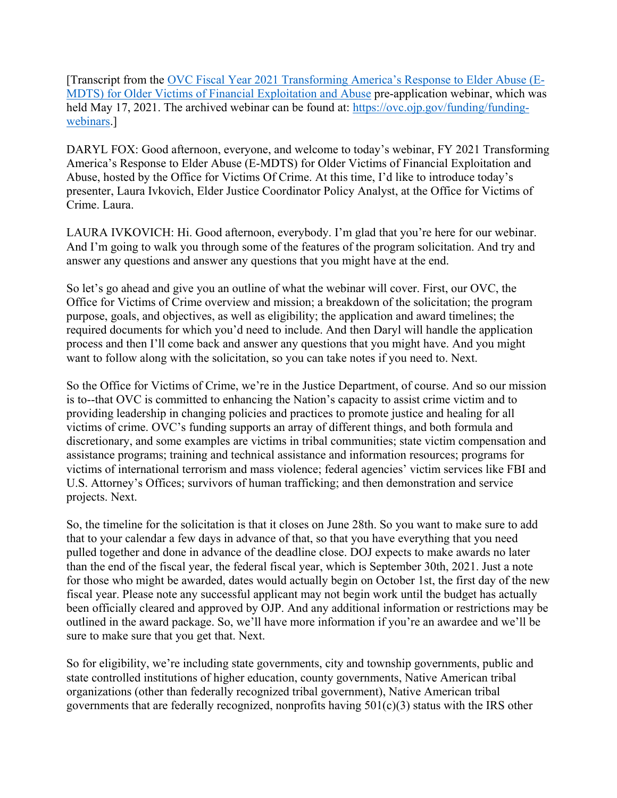[Transcript from the [OVC Fiscal Year 2021 Transforming America's Response to Elder Abuse \(E-](https://ovc.ojp.gov/funding/opportunities/o-ovc-2021-96002)MDTS) [for Older Victims of Financial Exploitation and Abuse](https://ovc.ojp.gov/funding/opportunities/o-ovc-2021-96002) pre-application webinar, which was held May 17, 2021. The archived webinar can be found at: [https://ovc.ojp.gov/funding/funding](https://ovc.ojp.gov/funding/funding-webinars)[webinars.](https://ovc.ojp.gov/funding/funding-webinars)]

DARYL FOX: Good afternoon, everyone, and welcome to today's webinar, FY 2021 Transforming America's Response to Elder Abuse (E-MDTS) for Older Victims of Financial Exploitation and Abuse, hosted by the Office for Victims Of Crime. At this time, I'd like to introduce today's presenter, Laura Ivkovich, Elder Justice Coordinator Policy Analyst, at the Office for Victims of Crime. Laura.

LAURA IVKOVICH: Hi. Good afternoon, everybody. I'm glad that you're here for our webinar. And I'm going to walk you through some of the features of the program solicitation. And try and answer any questions and answer any questions that you might have at the end.

So let's go ahead and give you an outline of what the webinar will cover. First, our OVC, the Office for Victims of Crime overview and mission; a breakdown of the solicitation; the program purpose, goals, and objectives, as well as eligibility; the application and award timelines; the required documents for which you'd need to include. And then Daryl will handle the application process and then I'll come back and answer any questions that you might have. And you might want to follow along with the solicitation, so you can take notes if you need to. Next.

So the Office for Victims of Crime, we're in the Justice Department, of course. And so our mission is to--that OVC is committed to enhancing the Nation's capacity to assist crime victim and to providing leadership in changing policies and practices to promote justice and healing for all victims of crime. OVC's funding supports an array of different things, and both formula and discretionary, and some examples are victims in tribal communities; state victim compensation and assistance programs; training and technical assistance and information resources; programs for victims of international terrorism and mass violence; federal agencies' victim services like FBI and U.S. Attorney's Offices; survivors of human trafficking; and then demonstration and service projects. Next.

So, the timeline for the solicitation is that it closes on June 28th. So you want to make sure to add that to your calendar a few days in advance of that, so that you have everything that you need pulled together and done in advance of the deadline close. DOJ expects to make awards no later than the end of the fiscal year, the federal fiscal year, which is September 30th, 2021. Just a note for those who might be awarded, dates would actually begin on October 1st, the first day of the new fiscal year. Please note any successful applicant may not begin work until the budget has actually been officially cleared and approved by OJP. And any additional information or restrictions may be outlined in the award package. So, we'll have more information if you're an awardee and we'll be sure to make sure that you get that. Next.

So for eligibility, we're including state governments, city and township governments, public and state controlled institutions of higher education, county governments, Native American tribal organizations (other than federally recognized tribal government), Native American tribal governments that are federally recognized, nonprofits having  $501(c)(3)$  status with the IRS other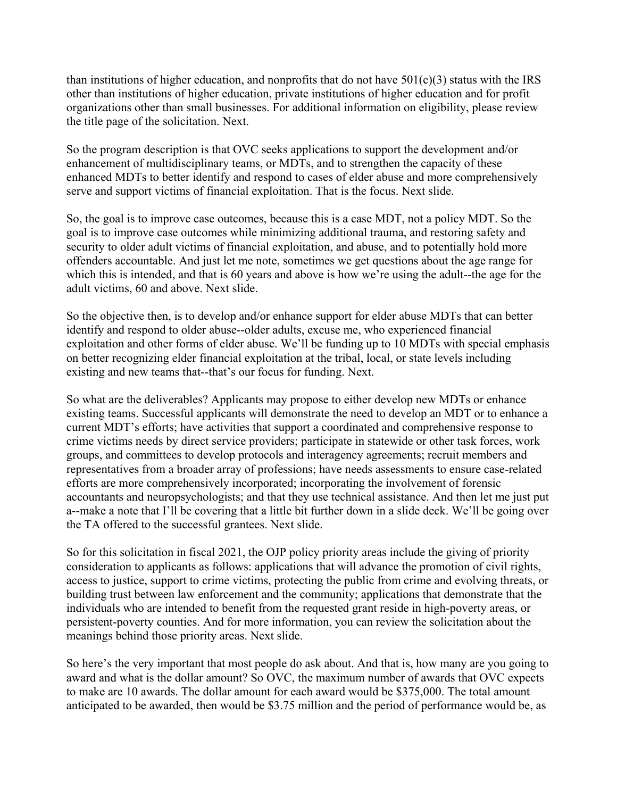than institutions of higher education, and nonprofits that do not have  $501(c)(3)$  status with the IRS other than institutions of higher education, private institutions of higher education and for profit organizations other than small businesses. For additional information on eligibility, please review the title page of the solicitation. Next.

So the program description is that OVC seeks applications to support the development and/or enhancement of multidisciplinary teams, or MDTs, and to strengthen the capacity of these enhanced MDTs to better identify and respond to cases of elder abuse and more comprehensively serve and support victims of financial exploitation. That is the focus. Next slide.

So, the goal is to improve case outcomes, because this is a case MDT, not a policy MDT. So the goal is to improve case outcomes while minimizing additional trauma, and restoring safety and security to older adult victims of financial exploitation, and abuse, and to potentially hold more offenders accountable. And just let me note, sometimes we get questions about the age range for which this is intended, and that is 60 years and above is how we're using the adult--the age for the adult victims, 60 and above. Next slide.

So the objective then, is to develop and/or enhance support for elder abuse MDTs that can better identify and respond to older abuse--older adults, excuse me, who experienced financial exploitation and other forms of elder abuse. We'll be funding up to 10 MDTs with special emphasis on better recognizing elder financial exploitation at the tribal, local, or state levels including existing and new teams that--that's our focus for funding. Next.

So what are the deliverables? Applicants may propose to either develop new MDTs or enhance existing teams. Successful applicants will demonstrate the need to develop an MDT or to enhance a current MDT's efforts; have activities that support a coordinated and comprehensive response to crime victims needs by direct service providers; participate in statewide or other task forces, work groups, and committees to develop protocols and interagency agreements; recruit members and representatives from a broader array of professions; have needs assessments to ensure case-related efforts are more comprehensively incorporated; incorporating the involvement of forensic accountants and neuropsychologists; and that they use technical assistance. And then let me just put a--make a note that I'll be covering that a little bit further down in a slide deck. We'll be going over the TA offered to the successful grantees. Next slide.

So for this solicitation in fiscal 2021, the OJP policy priority areas include the giving of priority consideration to applicants as follows: applications that will advance the promotion of civil rights, access to justice, support to crime victims, protecting the public from crime and evolving threats, or building trust between law enforcement and the community; applications that demonstrate that the individuals who are intended to benefit from the requested grant reside in high-poverty areas, or persistent-poverty counties. And for more information, you can review the solicitation about the meanings behind those priority areas. Next slide.

So here's the very important that most people do ask about. And that is, how many are you going to award and what is the dollar amount? So OVC, the maximum number of awards that OVC expects to make are 10 awards. The dollar amount for each award would be \$375,000. The total amount anticipated to be awarded, then would be \$3.75 million and the period of performance would be, as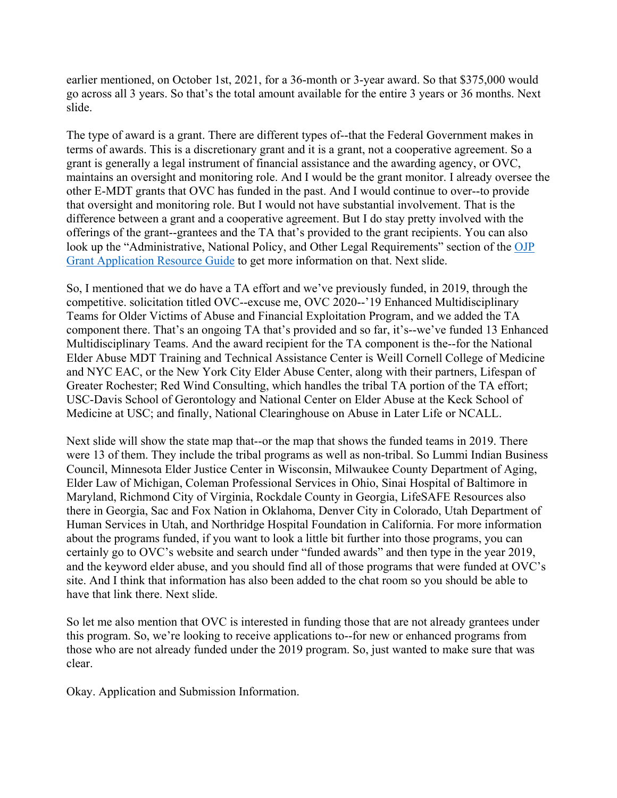earlier mentioned, on October 1st, 2021, for a 36-month or 3-year award. So that \$375,000 would go across all 3 years. So that's the total amount available for the entire 3 years or 36 months. Next slide.

The type of award is a grant. There are different types of--that the Federal Government makes in terms of awards. This is a discretionary grant and it is a grant, not a cooperative agreement. So a grant is generally a legal instrument of financial assistance and the awarding agency, or OVC, maintains an oversight and monitoring role. And I would be the grant monitor. I already oversee the other E-MDT grants that OVC has funded in the past. And I would continue to over--to provide that oversight and monitoring role. But I would not have substantial involvement. That is the difference between a grant and a cooperative agreement. But I do stay pretty involved with the offerings of the grant--grantees and the TA that's provided to the grant recipients. You can also look up the "Administrative, National Policy, and Other Legal Requirements" section of the OJP [Grant Application Resource Guide](https://justicegrants.usdoj.gov/training/training-application-submission) to get more information on that. Next slide.

So, I mentioned that we do have a TA effort and we've previously funded, in 2019, through the competitive. solicitation titled OVC--excuse me, OVC 2020--'19 Enhanced Multidisciplinary Teams for Older Victims of Abuse and Financial Exploitation Program, and we added the TA component there. That's an ongoing TA that's provided and so far, it's--we've funded 13 Enhanced Multidisciplinary Teams. And the award recipient for the TA component is the--for the National Elder Abuse MDT Training and Technical Assistance Center is Weill Cornell College of Medicine and NYC EAC, or the New York City Elder Abuse Center, along with their partners, Lifespan of Greater Rochester; Red Wind Consulting, which handles the tribal TA portion of the TA effort; USC-Davis School of Gerontology and National Center on Elder Abuse at the Keck School of Medicine at USC; and finally, National Clearinghouse on Abuse in Later Life or NCALL.

Next slide will show the state map that--or the map that shows the funded teams in 2019. There were 13 of them. They include the tribal programs as well as non-tribal. So Lummi Indian Business Council, Minnesota Elder Justice Center in Wisconsin, Milwaukee County Department of Aging, Elder Law of Michigan, Coleman Professional Services in Ohio, Sinai Hospital of Baltimore in Maryland, Richmond City of Virginia, Rockdale County in Georgia, LifeSAFE Resources also there in Georgia, Sac and Fox Nation in Oklahoma, Denver City in Colorado, Utah Department of Human Services in Utah, and Northridge Hospital Foundation in California. For more information about the programs funded, if you want to look a little bit further into those programs, you can certainly go to OVC's website and search under "funded awards" and then type in the year 2019, and the keyword elder abuse, and you should find all of those programs that were funded at OVC's site. And I think that information has also been added to the chat room so you should be able to have that link there. Next slide.

So let me also mention that OVC is interested in funding those that are not already grantees under this program. So, we're looking to receive applications to--for new or enhanced programs from those who are not already funded under the 2019 program. So, just wanted to make sure that was clear.

Okay. Application and Submission Information.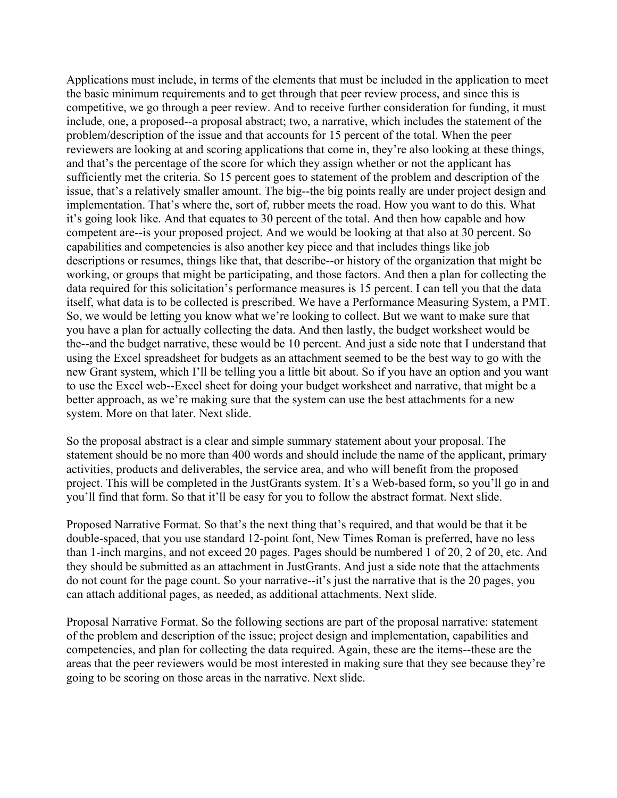Applications must include, in terms of the elements that must be included in the application to meet the basic minimum requirements and to get through that peer review process, and since this is competitive, we go through a peer review. And to receive further consideration for funding, it must include, one, a proposed--a proposal abstract; two, a narrative, which includes the statement of the problem/description of the issue and that accounts for 15 percent of the total. When the peer reviewers are looking at and scoring applications that come in, they're also looking at these things, and that's the percentage of the score for which they assign whether or not the applicant has sufficiently met the criteria. So 15 percent goes to statement of the problem and description of the issue, that's a relatively smaller amount. The big--the big points really are under project design and implementation. That's where the, sort of, rubber meets the road. How you want to do this. What it's going look like. And that equates to 30 percent of the total. And then how capable and how competent are--is your proposed project. And we would be looking at that also at 30 percent. So capabilities and competencies is also another key piece and that includes things like job descriptions or resumes, things like that, that describe--or history of the organization that might be working, or groups that might be participating, and those factors. And then a plan for collecting the data required for this solicitation's performance measures is 15 percent. I can tell you that the data itself, what data is to be collected is prescribed. We have a Performance Measuring System, a PMT. So, we would be letting you know what we're looking to collect. But we want to make sure that you have a plan for actually collecting the data. And then lastly, the budget worksheet would be the--and the budget narrative, these would be 10 percent. And just a side note that I understand that using the Excel spreadsheet for budgets as an attachment seemed to be the best way to go with the new Grant system, which I'll be telling you a little bit about. So if you have an option and you want to use the Excel web--Excel sheet for doing your budget worksheet and narrative, that might be a better approach, as we're making sure that the system can use the best attachments for a new system. More on that later. Next slide.

So the proposal abstract is a clear and simple summary statement about your proposal. The statement should be no more than 400 words and should include the name of the applicant, primary activities, products and deliverables, the service area, and who will benefit from the proposed project. This will be completed in the JustGrants system. It's a Web-based form, so you'll go in and you'll find that form. So that it'll be easy for you to follow the abstract format. Next slide.

Proposed Narrative Format. So that's the next thing that's required, and that would be that it be double-spaced, that you use standard 12-point font, New Times Roman is preferred, have no less than 1-inch margins, and not exceed 20 pages. Pages should be numbered 1 of 20, 2 of 20, etc. And they should be submitted as an attachment in JustGrants. And just a side note that the attachments do not count for the page count. So your narrative--it's just the narrative that is the 20 pages, you can attach additional pages, as needed, as additional attachments. Next slide.

Proposal Narrative Format. So the following sections are part of the proposal narrative: statement of the problem and description of the issue; project design and implementation, capabilities and competencies, and plan for collecting the data required. Again, these are the items--these are the areas that the peer reviewers would be most interested in making sure that they see because they're going to be scoring on those areas in the narrative. Next slide.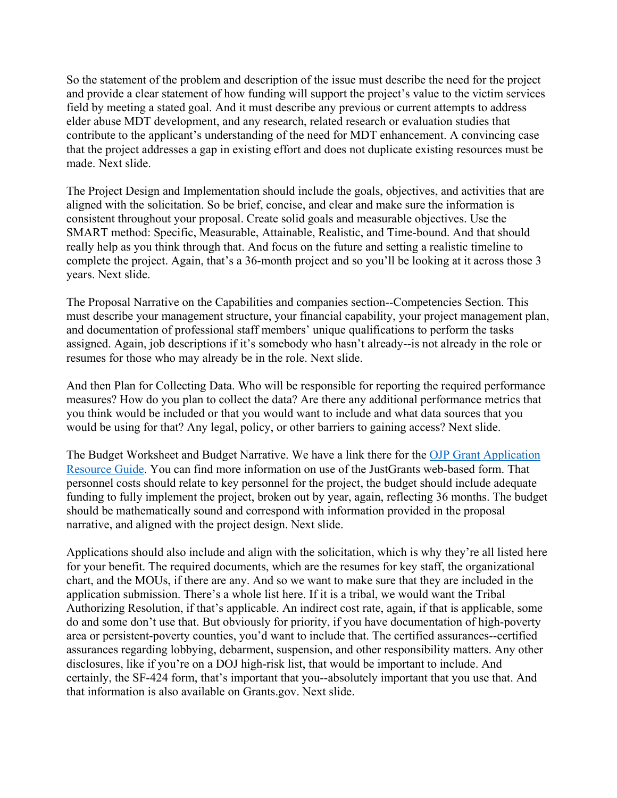So the statement of the problem and description of the issue must describe the need for the project and provide a clear statement of how funding will support the project's value to the victim services field by meeting a stated goal. And it must describe any previous or current attempts to address elder abuse MDT development, and any research, related research or evaluation studies that contribute to the applicant's understanding of the need for MDT enhancement. A convincing case that the project addresses a gap in existing effort and does not duplicate existing resources must be made. Next slide.

The Project Design and Implementation should include the goals, objectives, and activities that are aligned with the solicitation. So be brief, concise, and clear and make sure the information is consistent throughout your proposal. Create solid goals and measurable objectives. Use the SMART method: Specific, Measurable, Attainable, Realistic, and Time-bound. And that should really help as you think through that. And focus on the future and setting a realistic timeline to complete the project. Again, that's a 36-month project and so you'll be looking at it across those 3 years. Next slide.

The Proposal Narrative on the Capabilities and companies section--Competencies Section. This must describe your management structure, your financial capability, your project management plan, and documentation of professional staff members' unique qualifications to perform the tasks assigned. Again, job descriptions if it's somebody who hasn't already--is not already in the role or resumes for those who may already be in the role. Next slide.

And then Plan for Collecting Data. Who will be responsible for reporting the required performance measures? How do you plan to collect the data? Are there any additional performance metrics that you think would be included or that you would want to include and what data sources that you would be using for that? Any legal, policy, or other barriers to gaining access? Next slide.

The Budget Worksheet and Budget Narrative. We have a link there for the [OJP Grant Application](https://www.ojp.gov/funding/apply/ojp-grant-application-resource-guide)  [Resource Guide.](https://www.ojp.gov/funding/apply/ojp-grant-application-resource-guide) You can find more information on use of the JustGrants web-based form. That personnel costs should relate to key personnel for the project, the budget should include adequate funding to fully implement the project, broken out by year, again, reflecting 36 months. The budget should be mathematically sound and correspond with information provided in the proposal narrative, and aligned with the project design. Next slide.

Applications should also include and align with the solicitation, which is why they're all listed here for your benefit. The required documents, which are the resumes for key staff, the organizational chart, and the MOUs, if there are any. And so we want to make sure that they are included in the application submission. There's a whole list here. If it is a tribal, we would want the Tribal Authorizing Resolution, if that's applicable. An indirect cost rate, again, if that is applicable, some do and some don't use that. But obviously for priority, if you have documentation of high-poverty area or persistent-poverty counties, you'd want to include that. The certified assurances--certified assurances regarding lobbying, debarment, suspension, and other responsibility matters. Any other disclosures, like if you're on a DOJ high-risk list, that would be important to include. And certainly, the SF-424 form, that's important that you--absolutely important that you use that. And that information is also available on Grants.gov. Next slide.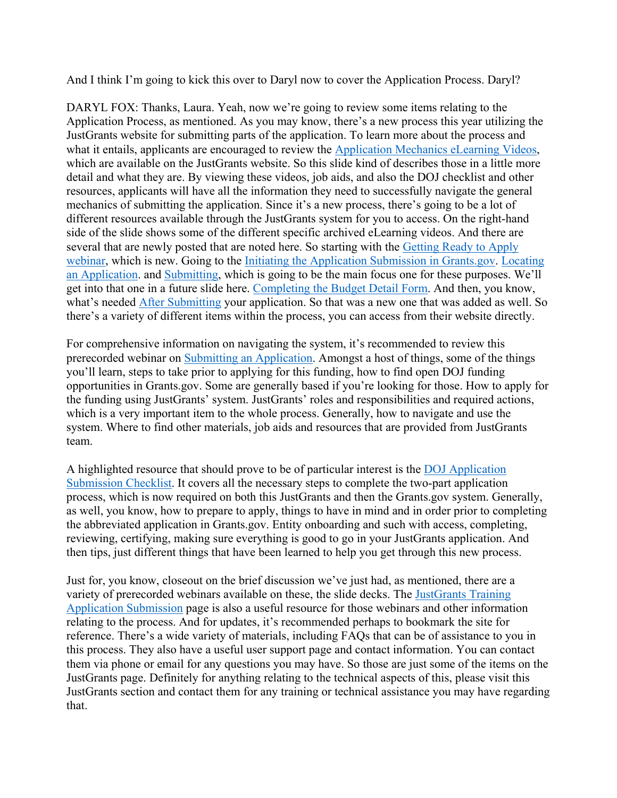And I think I'm going to kick this over to Daryl now to cover the Application Process. Daryl?

DARYL FOX: Thanks, Laura. Yeah, now we're going to review some items relating to the Application Process, as mentioned. As you may know, there's a new process this year utilizing the JustGrants website for submitting parts of the application. To learn more about the process and what it entails, applicants are encouraged to review the [Application Mechanics](https://justicegrants.usdoj.gov/training/training-application-submission) eLearning Videos, which are available on the JustGrants website. So this slide kind of describes those in a little more detail and what they are. By viewing these videos, job aids, and also the DOJ checklist and other resources, applicants will have all the information they need to successfully navigate the general mechanics of submitting the application. Since it's a new process, there's going to be a lot of different resources available through the JustGrants system for you to access. On the right-hand side of the slide shows some of the different specific archived eLearning videos. And there are several that are newly posted that are noted here. So starting with the [Getting Ready to Apply](https://www.youtube.com/watch?v=ITtDiVOOO_o)  [webinar,](https://www.youtube.com/watch?v=ITtDiVOOO_o) which is new. Going to the [Initiating the Application Submission in Grants.gov.](https://youtu.be/2q5fgr_uIg8) Locating [an Application.](https://youtu.be/2UqzPqUegv4) and [Submitting,](https://youtu.be/_56sxZBdEW8) which is going to be the main focus one for these purposes. We'll get into that one in a future slide here. [Completing the Budget Detail Form.](https://youtu.be/9I4iTR_ROpc) And then, you know, what's needed [After Submitting](https://youtu.be/PTaNT9bEa6g) your application. So that was a new one that was added as well. So there's a variety of different items within the process, you can access from their website directly.

For comprehensive information on navigating the system, it's recommended to review this prerecorded webinar on [Submitting an Application.](https://justicegrants.usdoj.gov/training-resources/justgrants-training/application-submission#appln-mechanics) Amongst a host of things, some of the things you'll learn, steps to take prior to applying for this funding, how to find open DOJ funding opportunities in Grants.gov. Some are generally based if you're looking for those. How to apply for the funding using JustGrants' system. JustGrants' roles and responsibilities and required actions, which is a very important item to the whole process. Generally, how to navigate and use the system. Where to find other materials, job aids and resources that are provided from JustGrants team.

A highlighted resource that should prove to be of particular interest is the [DOJ Application](https://justicegrants.usdoj.gov/sites/g/files/xyckuh296/files/media/document/appln-submission-checklist.pdf)  [Submission Checklist.](https://justicegrants.usdoj.gov/sites/g/files/xyckuh296/files/media/document/appln-submission-checklist.pdf) It covers all the necessary steps to complete the two-part application process, which is now required on both this JustGrants and then the Grants.gov system. Generally, as well, you know, how to prepare to apply, things to have in mind and in order prior to completing the abbreviated application in Grants.gov. Entity onboarding and such with access, completing, reviewing, certifying, making sure everything is good to go in your JustGrants application. And then tips, just different things that have been learned to help you get through this new process.

Just for, you know, closeout on the brief discussion we've just had, as mentioned, there are a variety of prerecorded webinars available on these, the slide decks. The [JustGrants Training](https://justicegrants.usdoj.gov/training-resources/justgrants-training/application-submission#y9juqd)  [Application Submission](https://justicegrants.usdoj.gov/training-resources/justgrants-training/application-submission#y9juqd) page is also a useful resource for those webinars and other information relating to the process. And for updates, it's recommended perhaps to bookmark the site for reference. There's a wide variety of materials, including FAQs that can be of assistance to you in this process. They also have a useful user support page and contact information. You can contact them via phone or email for any questions you may have. So those are just some of the items on the JustGrants page. Definitely for anything relating to the technical aspects of this, please visit this JustGrants section and contact them for any training or technical assistance you may have regarding that.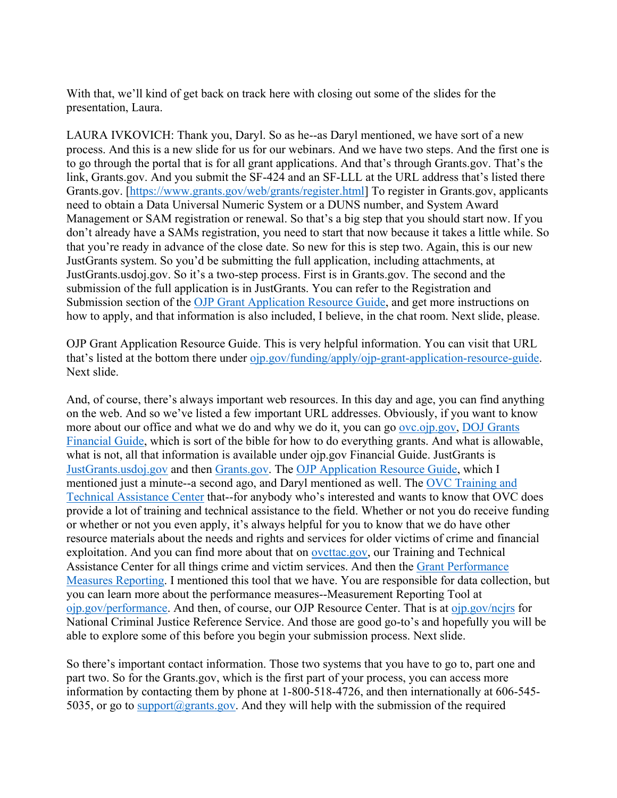With that, we'll kind of get back on track here with closing out some of the slides for the presentation, Laura.

LAURA IVKOVICH: Thank you, Daryl. So as he--as Daryl mentioned, we have sort of a new process. And this is a new slide for us for our webinars. And we have two steps. And the first one is to go through the portal that is for all grant applications. And that's through Grants.gov. That's the link, Grants.gov. And you submit the SF-424 and an SF-LLL at the URL address that's listed there Grants.gov. [\[https://www.grants.gov/web/grants/register.html\]](https://www.grants.gov/web/grants/register.html) To register in Grants.gov, applicants need to obtain a Data Universal Numeric System or a DUNS number, and System Award Management or SAM registration or renewal. So that's a big step that you should start now. If you don't already have a SAMs registration, you need to start that now because it takes a little while. So that you're ready in advance of the close date. So new for this is step two. Again, this is our new JustGrants system. So you'd be submitting the full application, including attachments, at JustGrants.usdoj.gov. So it's a two-step process. First is in Grants.gov. The second and the submission of the full application is in JustGrants. You can refer to the Registration and Submission section of the [OJP Grant Application Resource Guide,](https://www.ojp.gov/funding/apply/ojp-grant-application-resource-guide) and get more instructions on how to apply, and that information is also included, I believe, in the chat room. Next slide, please.

OJP Grant Application Resource Guide. This is very helpful information. You can visit that URL that's listed at the bottom there under [ojp.gov/funding/apply/ojp-grant-application-resource-guide.](https://www.ojp.gov/funding/apply/ojp-grant-application-resource-guide) Next slide.

And, of course, there's always important web resources. In this day and age, you can find anything on the web. And so we've listed a few important URL addresses. Obviously, if you want to know more about our office and what we do and why we do it, you can go [ovc.ojp.gov,](http://ovc.ojp.gov/) [DOJ Grants](https://ojp.gov/financialguide/DOJ/index.htm)  [Financial Guide,](https://ojp.gov/financialguide/DOJ/index.htm) which is sort of the bible for how to do everything grants. And what is allowable, what is not, all that information is available under ojp.gov Financial Guide. JustGrants is [JustGrants.usdoj.gov](https://justgrants.usdoj.gov/) and then [Grants.gov.](https://www.grants.gov/) The [OJP Application Resource Guide,](https://www.ojp.gov/funding/apply/ojp-grant-application-resource-guide) which I mentioned just a minute--a second ago, and Daryl mentioned as well. The [OVC Training and](http://www.ovcttac.gov/)  [Technical Assistance Center](http://www.ovcttac.gov/) that--for anybody who's interested and wants to know that OVC does provide a lot of training and technical assistance to the field. Whether or not you do receive funding or whether or not you even apply, it's always helpful for you to know that we do have other resource materials about the needs and rights and services for older victims of crime and financial exploitation. And you can find more about that on [ovcttac.gov,](http://www.ovcttac.gov/) our Training and Technical Assistance Center for all things crime and victim services. And then the [Grant Performance](https://ojp.gov/performance/)  [Measures Reporting.](https://ojp.gov/performance/) I mentioned this tool that we have. You are responsible for data collection, but you can learn more about the performance measures--Measurement Reporting Tool at [ojp.gov/performance.](https://ojp.gov/performance/) And then, of course, our OJP Resource Center. That is at [ojp.gov/ncjrs](https://www.ojp.gov/ncjrs/new-ojp-resources) for National Criminal Justice Reference Service. And those are good go-to's and hopefully you will be able to explore some of this before you begin your submission process. Next slide.

So there's important contact information. Those two systems that you have to go to, part one and part two. So for the Grants.gov, which is the first part of your process, you can access more information by contacting them by phone at 1-800-518-4726, and then internationally at 606-545 5035, or go to [support@grants.gov.](mailto:support@grants.gov) And they will help with the submission of the required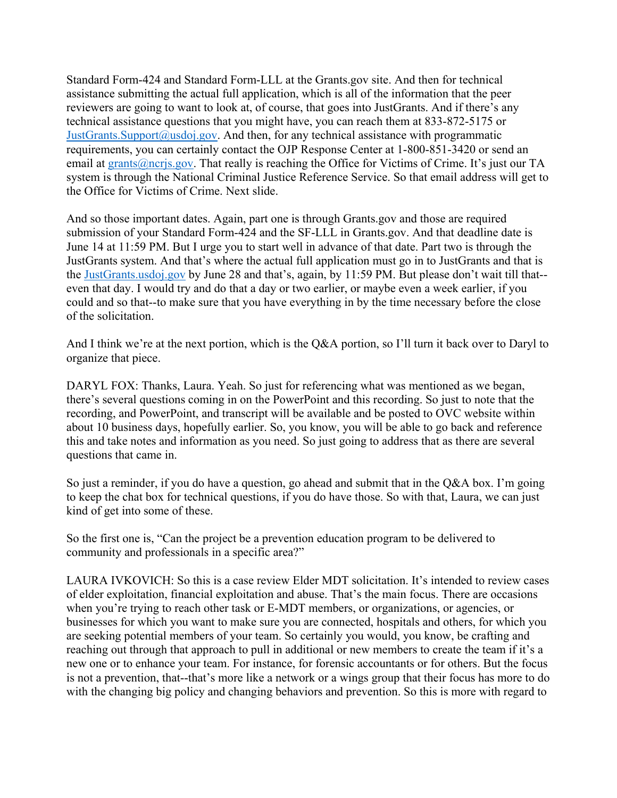Standard Form-424 and Standard Form-LLL at the Grants.gov site. And then for technical assistance submitting the actual full application, which is all of the information that the peer reviewers are going to want to look at, of course, that goes into JustGrants. And if there's any technical assistance questions that you might have, you can reach them at 833-872-5175 or [JustGrants.Support@usdoj.gov.](mailto:JustGrants.Support@usdoj.gov) And then, for any technical assistance with programmatic requirements, you can certainly contact the OJP Response Center at 1-800-851-3420 or send an email at [grants@ncrjs.gov.](mailto:grants@ncrjs.gov) That really is reaching the Office for Victims of Crime. It's just our TA system is through the National Criminal Justice Reference Service. So that email address will get to the Office for Victims of Crime. Next slide.

And so those important dates. Again, part one is through Grants.gov and those are required submission of your Standard Form-424 and the SF-LLL in Grants.gov. And that deadline date is June 14 at 11:59 PM. But I urge you to start well in advance of that date. Part two is through the JustGrants system. And that's where the actual full application must go in to JustGrants and that is the [JustGrants.usdoj.gov](https://justgrants.usdoj.gov/) by June 28 and that's, again, by 11:59 PM. But please don't wait till that- even that day. I would try and do that a day or two earlier, or maybe even a week earlier, if you could and so that--to make sure that you have everything in by the time necessary before the close of the solicitation.

And I think we're at the next portion, which is the Q&A portion, so I'll turn it back over to Daryl to organize that piece.

DARYL FOX: Thanks, Laura. Yeah. So just for referencing what was mentioned as we began, there's several questions coming in on the PowerPoint and this recording. So just to note that the recording, and PowerPoint, and transcript will be available and be posted to OVC website within about 10 business days, hopefully earlier. So, you know, you will be able to go back and reference this and take notes and information as you need. So just going to address that as there are several questions that came in.

So just a reminder, if you do have a question, go ahead and submit that in the Q&A box. I'm going to keep the chat box for technical questions, if you do have those. So with that, Laura, we can just kind of get into some of these.

So the first one is, "Can the project be a prevention education program to be delivered to community and professionals in a specific area?"

LAURA IVKOVICH: So this is a case review Elder MDT solicitation. It's intended to review cases of elder exploitation, financial exploitation and abuse. That's the main focus. There are occasions when you're trying to reach other task or E-MDT members, or organizations, or agencies, or businesses for which you want to make sure you are connected, hospitals and others, for which you are seeking potential members of your team. So certainly you would, you know, be crafting and reaching out through that approach to pull in additional or new members to create the team if it's a new one or to enhance your team. For instance, for forensic accountants or for others. But the focus is not a prevention, that--that's more like a network or a wings group that their focus has more to do with the changing big policy and changing behaviors and prevention. So this is more with regard to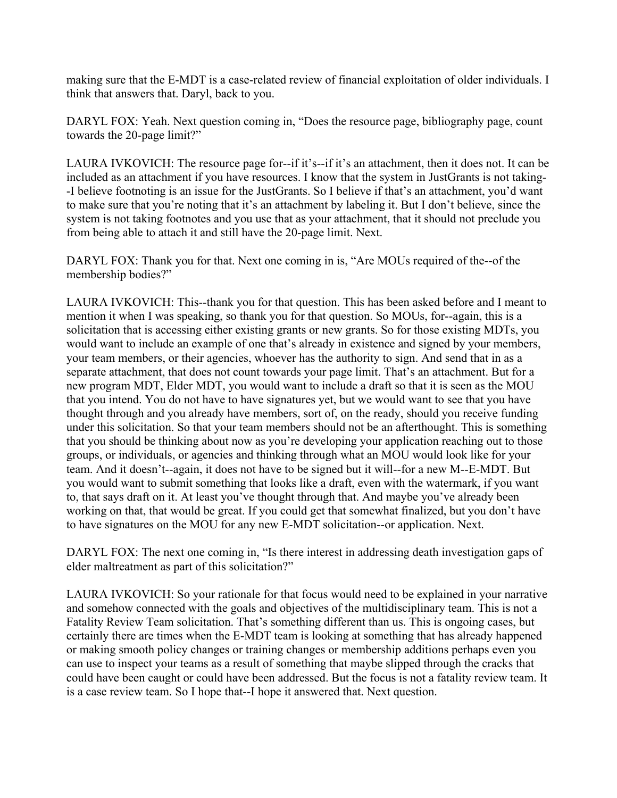making sure that the E-MDT is a case-related review of financial exploitation of older individuals. I think that answers that. Daryl, back to you.

DARYL FOX: Yeah. Next question coming in, "Does the resource page, bibliography page, count towards the 20-page limit?"

LAURA IVKOVICH: The resource page for--if it's--if it's an attachment, then it does not. It can be included as an attachment if you have resources. I know that the system in JustGrants is not taking- -I believe footnoting is an issue for the JustGrants. So I believe if that's an attachment, you'd want to make sure that you're noting that it's an attachment by labeling it. But I don't believe, since the system is not taking footnotes and you use that as your attachment, that it should not preclude you from being able to attach it and still have the 20-page limit. Next.

DARYL FOX: Thank you for that. Next one coming in is, "Are MOUs required of the--of the membership bodies?"

LAURA IVKOVICH: This--thank you for that question. This has been asked before and I meant to mention it when I was speaking, so thank you for that question. So MOUs, for--again, this is a solicitation that is accessing either existing grants or new grants. So for those existing MDTs, you would want to include an example of one that's already in existence and signed by your members, your team members, or their agencies, whoever has the authority to sign. And send that in as a separate attachment, that does not count towards your page limit. That's an attachment. But for a new program MDT, Elder MDT, you would want to include a draft so that it is seen as the MOU that you intend. You do not have to have signatures yet, but we would want to see that you have thought through and you already have members, sort of, on the ready, should you receive funding under this solicitation. So that your team members should not be an afterthought. This is something that you should be thinking about now as you're developing your application reaching out to those groups, or individuals, or agencies and thinking through what an MOU would look like for your team. And it doesn't--again, it does not have to be signed but it will--for a new M--E-MDT. But you would want to submit something that looks like a draft, even with the watermark, if you want to, that says draft on it. At least you've thought through that. And maybe you've already been working on that, that would be great. If you could get that somewhat finalized, but you don't have to have signatures on the MOU for any new E-MDT solicitation--or application. Next.

DARYL FOX: The next one coming in, "Is there interest in addressing death investigation gaps of elder maltreatment as part of this solicitation?"

LAURA IVKOVICH: So your rationale for that focus would need to be explained in your narrative and somehow connected with the goals and objectives of the multidisciplinary team. This is not a Fatality Review Team solicitation. That's something different than us. This is ongoing cases, but certainly there are times when the E-MDT team is looking at something that has already happened or making smooth policy changes or training changes or membership additions perhaps even you can use to inspect your teams as a result of something that maybe slipped through the cracks that could have been caught or could have been addressed. But the focus is not a fatality review team. It is a case review team. So I hope that--I hope it answered that. Next question.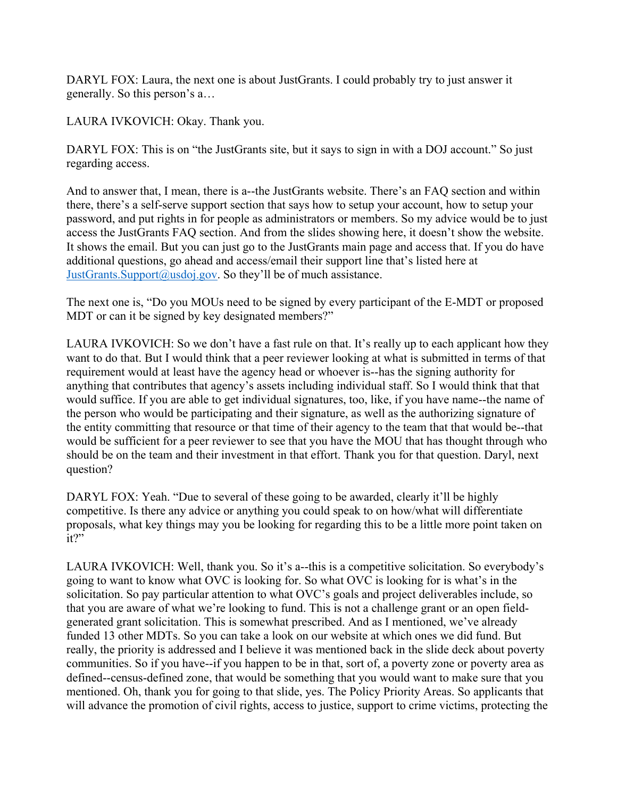DARYL FOX: Laura, the next one is about JustGrants. I could probably try to just answer it generally. So this person's a…

LAURA IVKOVICH: Okay. Thank you.

DARYL FOX: This is on "the JustGrants site, but it says to sign in with a DOJ account." So just regarding access.

And to answer that, I mean, there is a--the JustGrants website. There's an FAQ section and within there, there's a self-serve support section that says how to setup your account, how to setup your password, and put rights in for people as administrators or members. So my advice would be to just access the JustGrants FAQ section. And from the slides showing here, it doesn't show the website. It shows the email. But you can just go to the JustGrants main page and access that. If you do have additional questions, go ahead and access/email their support line that's listed here at [JustGrants.Support@usdoj.gov.](mailto:JustGrants.Support@usdoj.gov) So they'll be of much assistance.

The next one is, "Do you MOUs need to be signed by every participant of the E-MDT or proposed MDT or can it be signed by key designated members?"

LAURA IVKOVICH: So we don't have a fast rule on that. It's really up to each applicant how they want to do that. But I would think that a peer reviewer looking at what is submitted in terms of that requirement would at least have the agency head or whoever is--has the signing authority for anything that contributes that agency's assets including individual staff. So I would think that that would suffice. If you are able to get individual signatures, too, like, if you have name--the name of the person who would be participating and their signature, as well as the authorizing signature of the entity committing that resource or that time of their agency to the team that that would be--that would be sufficient for a peer reviewer to see that you have the MOU that has thought through who should be on the team and their investment in that effort. Thank you for that question. Daryl, next question?

DARYL FOX: Yeah. "Due to several of these going to be awarded, clearly it'll be highly competitive. Is there any advice or anything you could speak to on how/what will differentiate proposals, what key things may you be looking for regarding this to be a little more point taken on it?"

LAURA IVKOVICH: Well, thank you. So it's a--this is a competitive solicitation. So everybody's going to want to know what OVC is looking for. So what OVC is looking for is what's in the solicitation. So pay particular attention to what OVC's goals and project deliverables include, so that you are aware of what we're looking to fund. This is not a challenge grant or an open fieldgenerated grant solicitation. This is somewhat prescribed. And as I mentioned, we've already funded 13 other MDTs. So you can take a look on our website at which ones we did fund. But really, the priority is addressed and I believe it was mentioned back in the slide deck about poverty communities. So if you have--if you happen to be in that, sort of, a poverty zone or poverty area as defined--census-defined zone, that would be something that you would want to make sure that you mentioned. Oh, thank you for going to that slide, yes. The Policy Priority Areas. So applicants that will advance the promotion of civil rights, access to justice, support to crime victims, protecting the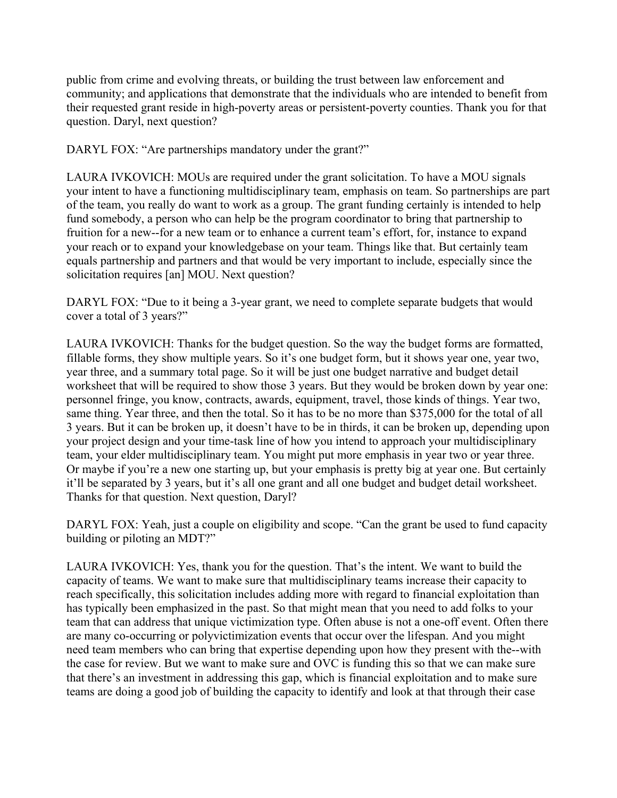public from crime and evolving threats, or building the trust between law enforcement and community; and applications that demonstrate that the individuals who are intended to benefit from their requested grant reside in high-poverty areas or persistent-poverty counties. Thank you for that question. Daryl, next question?

DARYL FOX: "Are partnerships mandatory under the grant?"

LAURA IVKOVICH: MOUs are required under the grant solicitation. To have a MOU signals your intent to have a functioning multidisciplinary team, emphasis on team. So partnerships are part of the team, you really do want to work as a group. The grant funding certainly is intended to help fund somebody, a person who can help be the program coordinator to bring that partnership to fruition for a new--for a new team or to enhance a current team's effort, for, instance to expand your reach or to expand your knowledgebase on your team. Things like that. But certainly team equals partnership and partners and that would be very important to include, especially since the solicitation requires [an] MOU. Next question?

DARYL FOX: "Due to it being a 3-year grant, we need to complete separate budgets that would cover a total of 3 years?"

LAURA IVKOVICH: Thanks for the budget question. So the way the budget forms are formatted, fillable forms, they show multiple years. So it's one budget form, but it shows year one, year two, year three, and a summary total page. So it will be just one budget narrative and budget detail worksheet that will be required to show those 3 years. But they would be broken down by year one: personnel fringe, you know, contracts, awards, equipment, travel, those kinds of things. Year two, same thing. Year three, and then the total. So it has to be no more than \$375,000 for the total of all 3 years. But it can be broken up, it doesn't have to be in thirds, it can be broken up, depending upon your project design and your time-task line of how you intend to approach your multidisciplinary team, your elder multidisciplinary team. You might put more emphasis in year two or year three. Or maybe if you're a new one starting up, but your emphasis is pretty big at year one. But certainly it'll be separated by 3 years, but it's all one grant and all one budget and budget detail worksheet. Thanks for that question. Next question, Daryl?

DARYL FOX: Yeah, just a couple on eligibility and scope. "Can the grant be used to fund capacity building or piloting an MDT?"

LAURA IVKOVICH: Yes, thank you for the question. That's the intent. We want to build the capacity of teams. We want to make sure that multidisciplinary teams increase their capacity to reach specifically, this solicitation includes adding more with regard to financial exploitation than has typically been emphasized in the past. So that might mean that you need to add folks to your team that can address that unique victimization type. Often abuse is not a one-off event. Often there are many co-occurring or polyvictimization events that occur over the lifespan. And you might need team members who can bring that expertise depending upon how they present with the--with the case for review. But we want to make sure and OVC is funding this so that we can make sure that there's an investment in addressing this gap, which is financial exploitation and to make sure teams are doing a good job of building the capacity to identify and look at that through their case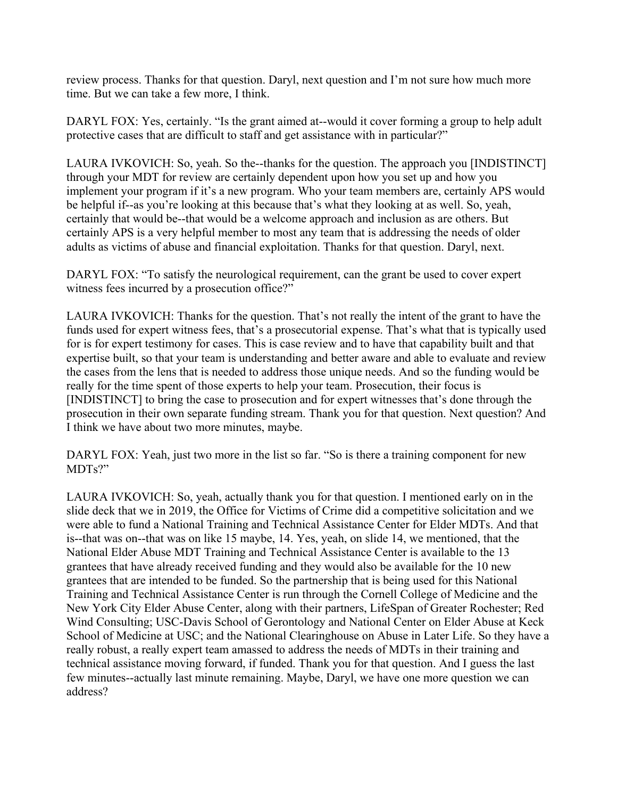review process. Thanks for that question. Daryl, next question and I'm not sure how much more time. But we can take a few more, I think.

DARYL FOX: Yes, certainly. "Is the grant aimed at--would it cover forming a group to help adult protective cases that are difficult to staff and get assistance with in particular?"

LAURA IVKOVICH: So, yeah. So the--thanks for the question. The approach you [INDISTINCT] through your MDT for review are certainly dependent upon how you set up and how you implement your program if it's a new program. Who your team members are, certainly APS would be helpful if--as you're looking at this because that's what they looking at as well. So, yeah, certainly that would be--that would be a welcome approach and inclusion as are others. But certainly APS is a very helpful member to most any team that is addressing the needs of older adults as victims of abuse and financial exploitation. Thanks for that question. Daryl, next.

DARYL FOX: "To satisfy the neurological requirement, can the grant be used to cover expert witness fees incurred by a prosecution office?"

LAURA IVKOVICH: Thanks for the question. That's not really the intent of the grant to have the funds used for expert witness fees, that's a prosecutorial expense. That's what that is typically used for is for expert testimony for cases. This is case review and to have that capability built and that expertise built, so that your team is understanding and better aware and able to evaluate and review the cases from the lens that is needed to address those unique needs. And so the funding would be really for the time spent of those experts to help your team. Prosecution, their focus is [INDISTINCT] to bring the case to prosecution and for expert witnesses that's done through the prosecution in their own separate funding stream. Thank you for that question. Next question? And I think we have about two more minutes, maybe.

DARYL FOX: Yeah, just two more in the list so far. "So is there a training component for new MDTs?"

LAURA IVKOVICH: So, yeah, actually thank you for that question. I mentioned early on in the slide deck that we in 2019, the Office for Victims of Crime did a competitive solicitation and we were able to fund a National Training and Technical Assistance Center for Elder MDTs. And that is--that was on--that was on like 15 maybe, 14. Yes, yeah, on slide 14, we mentioned, that the National Elder Abuse MDT Training and Technical Assistance Center is available to the 13 grantees that have already received funding and they would also be available for the 10 new grantees that are intended to be funded. So the partnership that is being used for this National Training and Technical Assistance Center is run through the Cornell College of Medicine and the New York City Elder Abuse Center, along with their partners, LifeSpan of Greater Rochester; Red Wind Consulting; USC-Davis School of Gerontology and National Center on Elder Abuse at Keck School of Medicine at USC; and the National Clearinghouse on Abuse in Later Life. So they have a really robust, a really expert team amassed to address the needs of MDTs in their training and technical assistance moving forward, if funded. Thank you for that question. And I guess the last few minutes--actually last minute remaining. Maybe, Daryl, we have one more question we can address?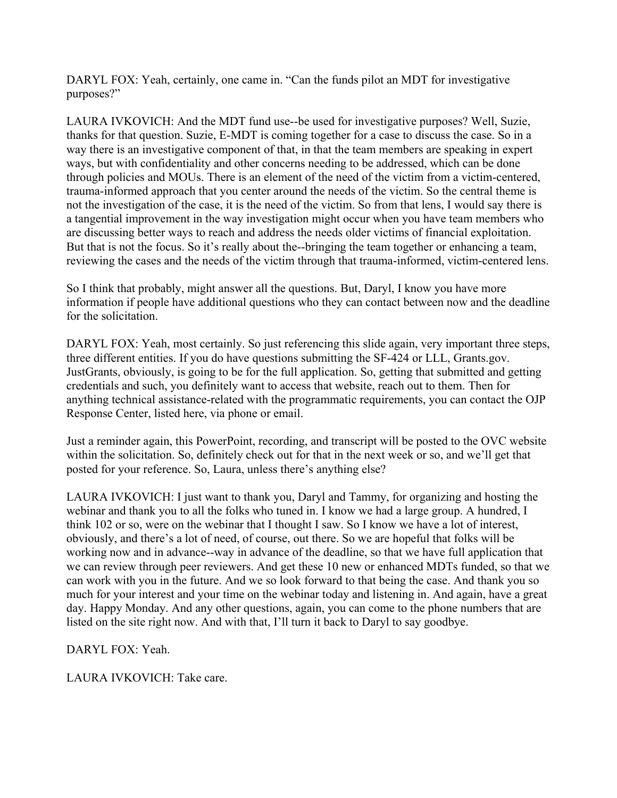DARYL FOX: Yeah, certainly, one came in. "Can the funds pilot an MDT for investigative purposes?"

LAURA IVKOVICH: And the MDT fund use--be used for investigative purposes? Well, Suzie, thanks for that question. Suzie, E-MDT is coming together for a case to discuss the case. So in a way there is an investigative component of that, in that the team members are speaking in expert ways, but with confidentiality and other concerns needing to be addressed, which can be done through policies and MOUs. There is an element of the need of the victim from a victim-centered, trauma-informed approach that you center around the needs of the victim. So the central theme is not the investigation of the case, it is the need of the victim. So from that lens, I would say there is a tangential improvement in the way investigation might occur when you have team members who are discussing better ways to reach and address the needs older victims of financial exploitation. But that is not the focus. So it's really about the--bringing the team together or enhancing a team, reviewing the cases and the needs of the victim through that trauma-informed, victim-centered lens.

So I think that probably, might answer all the questions. But, Daryl, I know you have more information if people have additional questions who they can contact between now and the deadline for the solicitation.

DARYL FOX: Yeah, most certainly. So just referencing this slide again, very important three steps, three different entities. If you do have questions submitting the SF-424 or LLL, Grants.gov. JustGrants, obviously, is going to be for the full application. So, getting that submitted and getting credentials and such, you definitely want to access that website, reach out to them. Then for anything technical assistance-related with the programmatic requirements, you can contact the OJP Response Center, listed here, via phone or email.

Just a reminder again, this PowerPoint, recording, and transcript will be posted to the OVC website within the solicitation. So, definitely check out for that in the next week or so, and we'll get that posted for your reference. So, Laura, unless there's anything else?

LAURA IVKOVICH: I just want to thank you, Daryl and Tammy, for organizing and hosting the webinar and thank you to all the folks who tuned in. I know we had a large group. A hundred, I think 102 or so, were on the webinar that I thought I saw. So I know we have a lot of interest, obviously, and there's a lot of need, of course, out there. So we are hopeful that folks will be working now and in advance--way in advance of the deadline, so that we have full application that we can review through peer reviewers. And get these 10 new or enhanced MDTs funded, so that we can work with you in the future. And we so look forward to that being the case. And thank you so much for your interest and your time on the webinar today and listening in. And again, have a great day. Happy Monday. And any other questions, again, you can come to the phone numbers that are listed on the site right now. And with that, I'll turn it back to Daryl to say goodbye.

DARYL FOX: Yeah.

LAURA IVKOVICH: Take care.